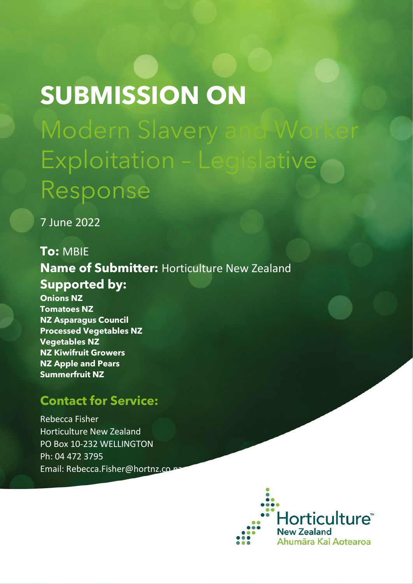# **SUBMISSION ON** Modern Slavery Exploitation – Legislative Response

7 June 2022

**To:** MBIE **Name of Submitter:** Horticulture New Zealand **Supported by: Onions NZ Tomatoes NZ NZ Asparagus Council** 

**Processed Vegetables NZ Vegetables NZ NZ Kiwifruit Growers NZ Apple and Pears Summerfruit NZ**

# **Contact for Service:**

Rebecca Fisher Horticulture New Zealand PO Box 10-232 WELLINGTON Ph: 04 472 3795 Email: Rebecca.Fisher@hortnz.co

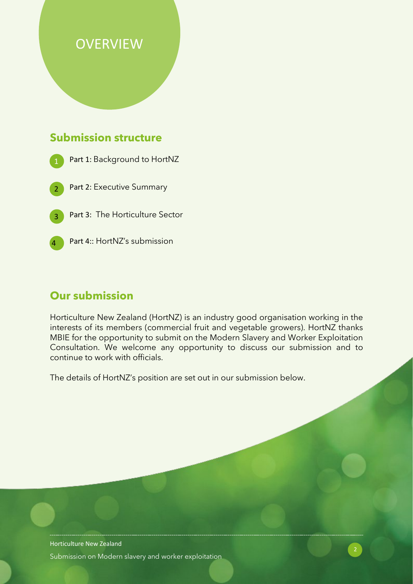# **OVERVIEW**

#### **Submission structure**

- Part 1: Background to HortNZ
- Part 2: Executive Summary
- Part 3: The Horticulture Sector
- 

Part 4:: HortNZ's submission

#### **Our submission**

Horticulture New Zealand (HortNZ) is an industry good organisation working in the interests of its members (commercial fruit and vegetable growers). HortNZ thanks MBIE for the opportunity to submit on the Modern Slavery and Worker Exploitation Consultation. We welcome any opportunity to discuss our submission and to continue to work with officials.

The details of HortNZ's position are set out in our submission below.

Horticulture New Zealand Submission on Modern slavery and worker exploitation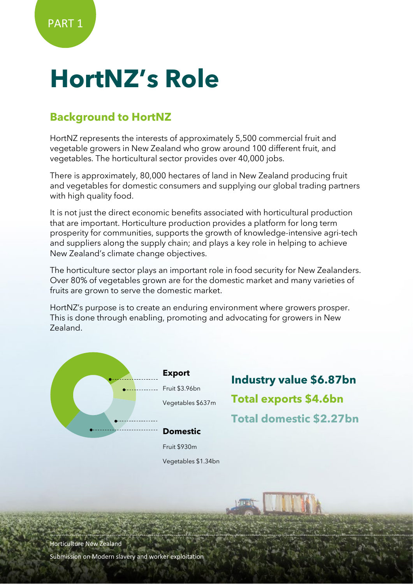# **HortNZ's Role**

# **Background to HortNZ**

HortNZ represents the interests of approximately 5,500 commercial fruit and vegetable growers in New Zealand who grow around 100 different fruit, and vegetables. The horticultural sector provides over 40,000 jobs.

There is approximately, 80,000 hectares of land in New Zealand producing fruit and vegetables for domestic consumers and supplying our global trading partners with high quality food.

It is not just the direct economic benefits associated with horticultural production that are important. Horticulture production provides a platform for long term prosperity for communities, supports the growth of knowledge-intensive agri-tech and suppliers along the supply chain; and plays a key role in helping to achieve New Zealand's climate change objectives.

The horticulture sector plays an important role in food security for New Zealanders. Over 80% of vegetables grown are for the domestic market and many varieties of fruits are grown to serve the domestic market.

HortNZ's purpose is to create an enduring environment where growers prosper. This is done through enabling, promoting and advocating for growers in New Zealand.



**Export** Fruit \$3.96bn Vegetables \$637m

**Industry value \$6.87bn Total exports \$4.6bn Total domestic \$2.27bn**

Fruit \$930m Vegetables \$1.34bn

Horticulture New Zealand

Submission on Modern slavery and worker exploitation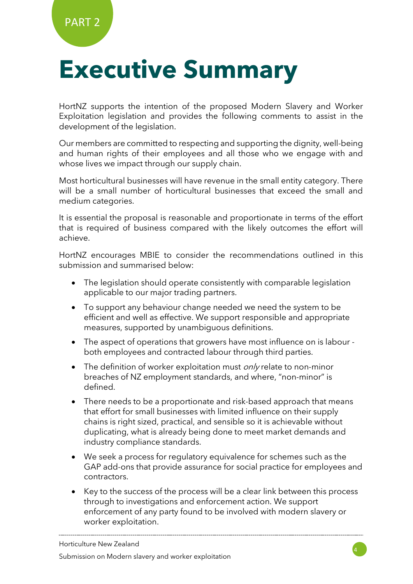# **Executive Summary**

HortNZ supports the intention of the proposed Modern Slavery and Worker Exploitation legislation and provides the following comments to assist in the development of the legislation.

Our members are committed to respecting and supporting the dignity, well-being and human rights of their employees and all those who we engage with and whose lives we impact through our supply chain.

Most horticultural businesses will have revenue in the small entity category. There will be a small number of horticultural businesses that exceed the small and medium categories.

It is essential the proposal is reasonable and proportionate in terms of the effort that is required of business compared with the likely outcomes the effort will achieve.

HortNZ encourages MBIE to consider the recommendations outlined in this submission and summarised below:

- The legislation should operate consistently with comparable legislation applicable to our major trading partners.
- To support any behaviour change needed we need the system to be efficient and well as effective. We support responsible and appropriate measures, supported by unambiguous definitions.
- The aspect of operations that growers have most influence on is labour both employees and contracted labour through third parties.
- The definition of worker exploitation must  $\frac{\partial n}{\partial r}$  relate to non-minor breaches of NZ employment standards, and where, "non-minor" is defined.
- There needs to be a proportionate and risk-based approach that means that effort for small businesses with limited influence on their supply chains is right sized, practical, and sensible so it is achievable without duplicating, what is already being done to meet market demands and industry compliance standards.
- We seek a process for regulatory equivalence for schemes such as the GAP add-ons that provide assurance for social practice for employees and contractors.
- Key to the success of the process will be a clear link between this process through to investigations and enforcement action. We support enforcement of any party found to be involved with modern slavery or worker exploitation.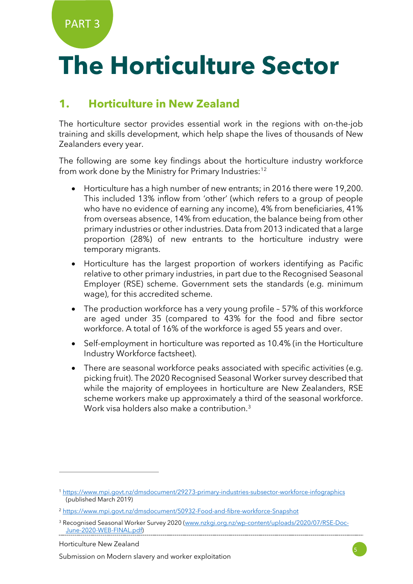PART 3

# **The Horticulture Sector**

## **1. Horticulture in New Zealand**

The horticulture sector provides essential work in the regions with on-the-job training and skills development, which help shape the lives of thousands of New Zealanders every year.

The following are some key findings about the horticulture industry workforce from work done by the Ministry for Primary Industries:<sup>[1](#page-4-0)[2](#page-4-1)</sup>

- Horticulture has a high number of new entrants; in 2016 there were 19,200. This included 13% inflow from 'other' (which refers to a group of people who have no evidence of earning any income), 4% from beneficiaries, 41% from overseas absence, 14% from education, the balance being from other primary industries or other industries. Data from 2013 indicated that a large proportion (28%) of new entrants to the horticulture industry were temporary migrants.
- Horticulture has the largest proportion of workers identifying as Pacific relative to other primary industries, in part due to the Recognised Seasonal Employer (RSE) scheme. Government sets the standards (e.g. minimum wage), for this accredited scheme.
- The production workforce has a very young profile 57% of this workforce are aged under 35 (compared to 43% for the food and fibre sector workforce. A total of 16% of the workforce is aged 55 years and over.
- Self-employment in horticulture was reported as 10.4% (in the Horticulture Industry Workforce factsheet).
- There are seasonal workforce peaks associated with specific activities (e.g. picking fruit). The 2020 Recognised Seasonal Worker survey described that while the majority of employees in horticulture are New Zealanders, RSE scheme workers make up approximately a third of the seasonal workforce. Work visa holders also make a contribution. [3](#page-4-2)

Horticulture New Zealand



<span id="page-4-0"></span><sup>1</sup> <https://www.mpi.govt.nz/dmsdocument/29273-primary-industries-subsector-workforce-infographics> (published March 2019)

<span id="page-4-1"></span><sup>2</sup> <https://www.mpi.govt.nz/dmsdocument/50932-Food-and-fibre-workforce-Snapshot>

<span id="page-4-2"></span><sup>&</sup>lt;sup>3</sup> Recognised Seasonal Worker Survey 2020 [\(www.nzkgi.org.nz/wp-content/uploads/2020/07/RSE-Doc-](http://www.nzkgi.org.nz/wp-content/uploads/2020/07/RSE-Doc-June-2020-WEB-FINAL.pdf)[June-2020-WEB-FINAL.pdf\)](http://www.nzkgi.org.nz/wp-content/uploads/2020/07/RSE-Doc-June-2020-WEB-FINAL.pdf)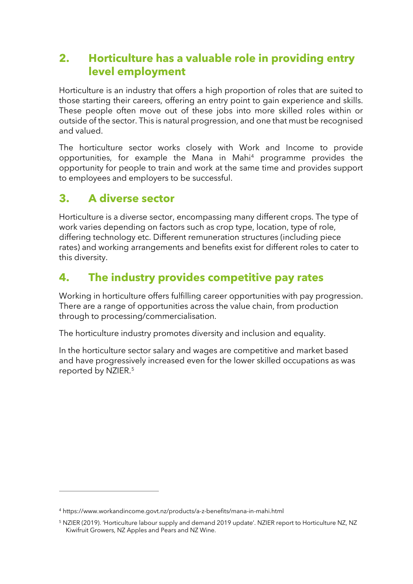## **2. Horticulture has a valuable role in providing entry level employment**

Horticulture is an industry that offers a high proportion of roles that are suited to those starting their careers, offering an entry point to gain experience and skills. These people often move out of these jobs into more skilled roles within or outside of the sector. This is natural progression, and one that must be recognised and valued.

The horticulture sector works closely with Work and Income to provide opportunities, for example the Mana in Mahi[4](#page-5-0) programme provides the opportunity for people to train and work at the same time and provides support to employees and employers to be successful.

## **3. A diverse sector**

Horticulture is a diverse sector, encompassing many different crops. The type of work varies depending on factors such as crop type, location, type of role, differing technology etc. Different remuneration structures (including piece rates) and working arrangements and benefits exist for different roles to cater to this diversity.

## **4. The industry provides competitive pay rates**

Working in horticulture offers fulfilling career opportunities with pay progression. There are a range of opportunities across the value chain, from production through to processing/commercialisation.

The horticulture industry promotes diversity and inclusion and equality.

In the horticulture sector salary and wages are competitive and market based and have progressively increased even for the lower skilled occupations as was reported by NZIER[.5](#page-5-1)

<span id="page-5-0"></span><sup>4</sup> https://www.workandincome.govt.nz/products/a-z-benefits/mana-in-mahi.html

<span id="page-5-1"></span><sup>5</sup> NZIER (2019). 'Horticulture labour supply and demand 2019 update'. NZIER report to Horticulture NZ, NZ Kiwifruit Growers, NZ Apples and Pears and NZ Wine.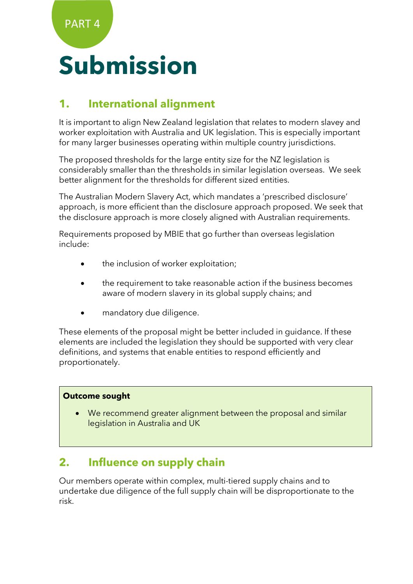# **Submission**

## **1. International alignment**

It is important to align New Zealand legislation that relates to modern slavey and worker exploitation with Australia and UK legislation. This is especially important for many larger businesses operating within multiple country jurisdictions.

The proposed thresholds for the large entity size for the NZ legislation is considerably smaller than the thresholds in similar legislation overseas. We seek better alignment for the thresholds for different sized entities.

The Australian Modern Slavery Act, which mandates a 'prescribed disclosure' approach, is more efficient than the disclosure approach proposed. We seek that the disclosure approach is more closely aligned with Australian requirements.

Requirements proposed by MBIE that go further than overseas legislation include:

- the inclusion of worker exploitation;
- the requirement to take reasonable action if the business becomes aware of modern slavery in its global supply chains; and
- mandatory due diligence.

These elements of the proposal might be better included in guidance. If these elements are included the legislation they should be supported with very clear definitions, and systems that enable entities to respond efficiently and proportionately.

#### **Outcome sought**

• We recommend greater alignment between the proposal and similar legislation in Australia and UK

## **2. Influence on supply chain**

Our members operate within complex, multi-tiered supply chains and to undertake due diligence of the full supply chain will be disproportionate to the risk.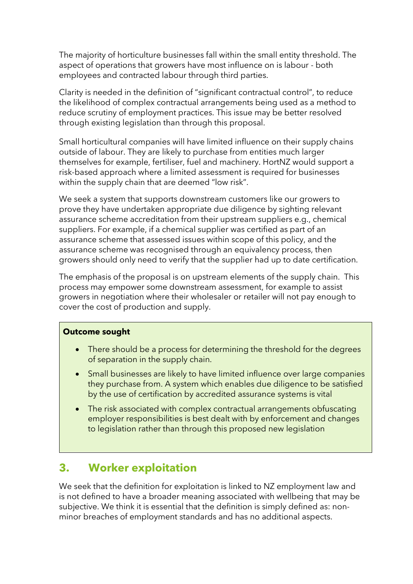The majority of horticulture businesses fall within the small entity threshold. The aspect of operations that growers have most influence on is labour - both employees and contracted labour through third parties.

Clarity is needed in the definition of "significant contractual control", to reduce the likelihood of complex contractual arrangements being used as a method to reduce scrutiny of employment practices. This issue may be better resolved through existing legislation than through this proposal.

Small horticultural companies will have limited influence on their supply chains outside of labour. They are likely to purchase from entities much larger themselves for example, fertiliser, fuel and machinery. HortNZ would support a risk-based approach where a limited assessment is required for businesses within the supply chain that are deemed "low risk".

We seek a system that supports downstream customers like our growers to prove they have undertaken appropriate due diligence by sighting relevant assurance scheme accreditation from their upstream suppliers e.g., chemical suppliers. For example, if a chemical supplier was certified as part of an assurance scheme that assessed issues within scope of this policy, and the assurance scheme was recognised through an equivalency process, then growers should only need to verify that the supplier had up to date certification.

The emphasis of the proposal is on upstream elements of the supply chain. This process may empower some downstream assessment, for example to assist growers in negotiation where their wholesaler or retailer will not pay enough to cover the cost of production and supply.

#### **Outcome sought**

- There should be a process for determining the threshold for the degrees of separation in the supply chain.
- Small businesses are likely to have limited influence over large companies they purchase from. A system which enables due diligence to be satisfied by the use of certification by accredited assurance systems is vital
- The risk associated with complex contractual arrangements obfuscating employer responsibilities is best dealt with by enforcement and changes to legislation rather than through this proposed new legislation

#### **3. Worker exploitation**

We seek that the definition for exploitation is linked to NZ employment law and is not defined to have a broader meaning associated with wellbeing that may be subjective. We think it is essential that the definition is simply defined as: nonminor breaches of employment standards and has no additional aspects.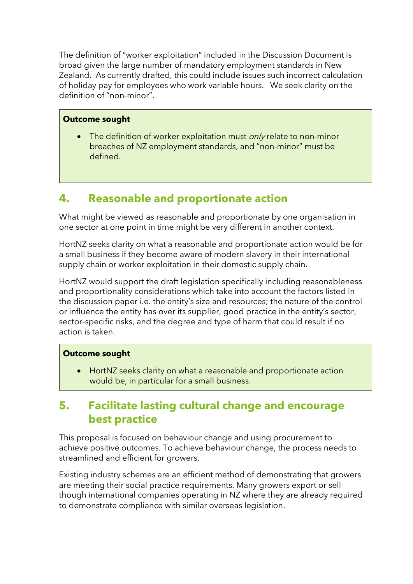The definition of "worker exploitation" included in the Discussion Document is broad given the large number of mandatory employment standards in New Zealand. As currently drafted, this could include issues such incorrect calculation of holiday pay for employees who work variable hours. We seek clarity on the definition of "non-minor".

#### **Outcome sought**

• The definition of worker exploitation must  $\frac{\partial n}{\partial r}$  relate to non-minor breaches of NZ employment standards, and "non-minor" must be defined.

## **4. Reasonable and proportionate action**

What might be viewed as reasonable and proportionate by one organisation in one sector at one point in time might be very different in another context.

HortNZ seeks clarity on what a reasonable and proportionate action would be for a small business if they become aware of modern slavery in their international supply chain or worker exploitation in their domestic supply chain.

HortNZ would support the draft legislation specifically including reasonableness and proportionality considerations which take into account the factors listed in the discussion paper i.e. the entity's size and resources; the nature of the control or influence the entity has over its supplier, good practice in the entity's sector, sector-specific risks, and the degree and type of harm that could result if no action is taken.

#### **Outcome sought**

• HortNZ seeks clarity on what a reasonable and proportionate action would be, in particular for a small business.

#### **5. Facilitate lasting cultural change and encourage best practice**

This proposal is focused on behaviour change and using procurement to achieve positive outcomes. To achieve behaviour change, the process needs to streamlined and efficient for growers.

Existing industry schemes are an efficient method of demonstrating that growers are meeting their social practice requirements. Many growers export or sell though international companies operating in NZ where they are already required to demonstrate compliance with similar overseas legislation.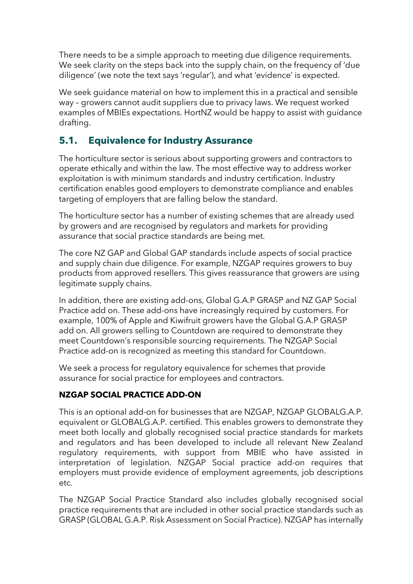There needs to be a simple approach to meeting due diligence requirements. We seek clarity on the steps back into the supply chain, on the frequency of 'due diligence' (we note the text says 'regular'), and what 'evidence' is expected.

We seek guidance material on how to implement this in a practical and sensible way – growers cannot audit suppliers due to privacy laws. We request worked examples of MBIEs expectations. HortNZ would be happy to assist with guidance drafting.

#### **5.1. Equivalence for Industry Assurance**

The horticulture sector is serious about supporting growers and contractors to operate ethically and within the law. The most effective way to address worker exploitation is with minimum standards and industry certification. Industry certification enables good employers to demonstrate compliance and enables targeting of employers that are falling below the standard.

The horticulture sector has a number of existing schemes that are already used by growers and are recognised by regulators and markets for providing assurance that social practice standards are being met.

The core NZ GAP and Global GAP standards include aspects of social practice and supply chain due diligence. For example, NZGAP requires growers to buy products from approved resellers. This gives reassurance that growers are using legitimate supply chains.

In addition, there are existing add-ons, Global G.A.P GRASP and NZ GAP Social Practice add on. These add-ons have increasingly required by customers. For example, 100% of Apple and Kiwifruit growers have the Global G.A.P GRASP add on. All growers selling to Countdown are required to demonstrate they meet Countdown's responsible sourcing requirements. The NZGAP Social Practice add-on is recognized as meeting this standard for Countdown.

We seek a process for regulatory equivalence for schemes that provide assurance for social practice for employees and contractors.

#### **NZGAP SOCIAL PRACTICE ADD-ON**

This is an optional add-on for businesses that are NZGAP, NZGAP GLOBALG.A.P. equivalent or GLOBALG.A.P. certified. This enables growers to demonstrate they meet both locally and globally recognised social practice standards for markets and regulators and has been developed to include all relevant New Zealand regulatory requirements, with support from MBIE who have assisted in interpretation of legislation. NZGAP Social practice add-on requires that employers must provide evidence of employment agreements, job descriptions etc.

The NZGAP Social Practice Standard also includes globally recognised social practice requirements that are included in other social practice standards such as GRASP (GLOBAL G.A.P. Risk Assessment on Social Practice). NZGAP has internally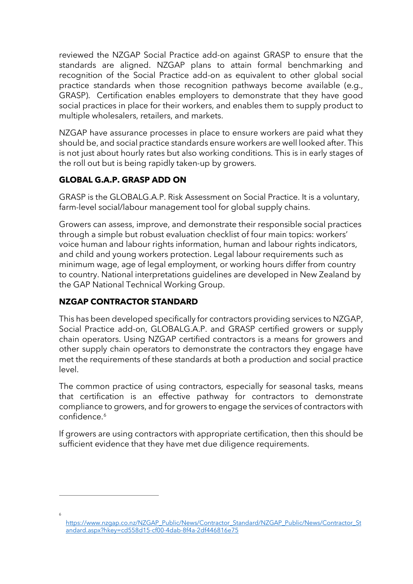reviewed the NZGAP Social Practice add-on against GRASP to ensure that the standards are aligned. NZGAP plans to attain formal benchmarking and recognition of the Social Practice add-on as equivalent to other global social practice standards when those recognition pathways become available (e.g., GRASP). Certification enables employers to demonstrate that they have good social practices in place for their workers, and enables them to supply product to multiple wholesalers, retailers, and markets.

NZGAP have assurance processes in place to ensure workers are paid what they should be, and social practice standards ensure workers are well looked after. This is not just about hourly rates but also working conditions. This is in early stages of the roll out but is being rapidly taken-up by growers.

#### **GLOBAL G.A.P. GRASP ADD ON**

GRASP is the GLOBALG.A.P. Risk Assessment on Social Practice. It is a voluntary, farm-level social/labour management tool for global supply chains.

Growers can assess, improve, and demonstrate their responsible social practices through a simple but robust evaluation checklist of four main topics: workers' voice human and labour rights information, human and labour rights indicators, and child and young workers protection. Legal labour requirements such as minimum wage, age of legal employment, or working hours differ from country to country. National interpretations guidelines are developed in New Zealand by the GAP National Technical Working Group.

#### **NZGAP CONTRACTOR STANDARD**

<span id="page-10-0"></span>6

This has been developed specifically for contractors providing services to NZGAP, Social Practice add-on, GLOBALG.A.P. and GRASP certified growers or supply chain operators. Using NZGAP certified contractors is a means for growers and other supply chain operators to demonstrate the contractors they engage have met the requirements of these standards at both a production and social practice level.

The common practice of using contractors, especially for seasonal tasks, means that certification is an effective pathway for contractors to demonstrate compliance to growers, and for growers to engage the services of contractors with confidence. [6](#page-10-0)

If growers are using contractors with appropriate certification, then this should be sufficient evidence that they have met due diligence requirements.

[https://www.nzgap.co.nz/NZGAP\\_Public/News/Contractor\\_Standard/NZGAP\\_Public/News/Contractor\\_St](https://www.nzgap.co.nz/NZGAP_Public/News/Contractor_Standard/NZGAP_Public/News/Contractor_Standard.aspx?hkey=cd558d15-cf00-4dab-8f4a-2df446816e75) [andard.aspx?hkey=cd558d15-cf00-4dab-8f4a-2df446816e75](https://www.nzgap.co.nz/NZGAP_Public/News/Contractor_Standard/NZGAP_Public/News/Contractor_Standard.aspx?hkey=cd558d15-cf00-4dab-8f4a-2df446816e75)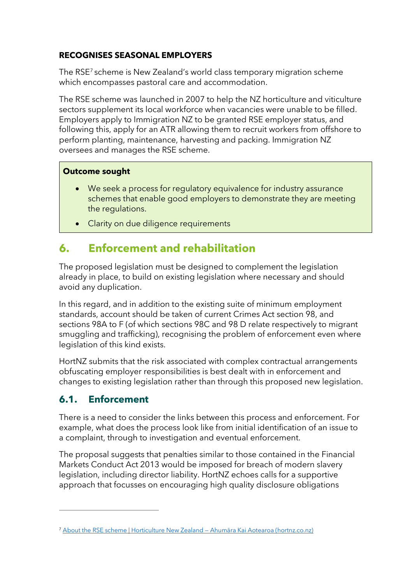#### **RECOGNISES SEASONAL EMPLOYERS**

The RSE[7](#page-11-0) scheme is New Zealand's world class temporary migration scheme which encompasses pastoral care and accommodation.

The RSE scheme was launched in 2007 to help the NZ horticulture and viticulture sectors supplement its local workforce when vacancies were unable to be filled. Employers apply to Immigration NZ to be granted RSE employer status, and following this, apply for an ATR allowing them to recruit workers from offshore to perform planting, maintenance, harvesting and packing. Immigration NZ oversees and manages the RSE scheme.

#### **Outcome sought**

- We seek a process for regulatory equivalence for industry assurance schemes that enable good employers to demonstrate they are meeting the regulations.
- Clarity on due diligence requirements

## **6. Enforcement and rehabilitation**

The proposed legislation must be designed to complement the legislation already in place, to build on existing legislation where necessary and should avoid any duplication.

In this regard, and in addition to the existing suite of minimum employment standards, account should be taken of current Crimes Act section 98, and sections 98A to F (of which sections 98C and 98 D relate respectively to migrant smuggling and trafficking), recognising the problem of enforcement even where legislation of this kind exists.

HortNZ submits that the risk associated with complex contractual arrangements obfuscating employer responsibilities is best dealt with in enforcement and changes to existing legislation rather than through this proposed new legislation.

#### **6.1. Enforcement**

There is a need to consider the links between this process and enforcement. For example, what does the process look like from initial identification of an issue to a complaint, through to investigation and eventual enforcement.

The proposal suggests that penalties similar to those contained in the Financial Markets Conduct Act 2013 would be imposed for breach of modern slavery legislation, including director liability. HortNZ echoes calls for a supportive approach that focusses on encouraging high quality disclosure obligations

<span id="page-11-0"></span><sup>7</sup> [About the RSE scheme | Horticulture New Zealand —](https://www.hortnz.co.nz/people-jobs-and-labour/rse-scheme/?msclkid=06864881d0ce11ec908ff867bc193258) Ahumāra Kai Aotearoa (hortnz.co.nz)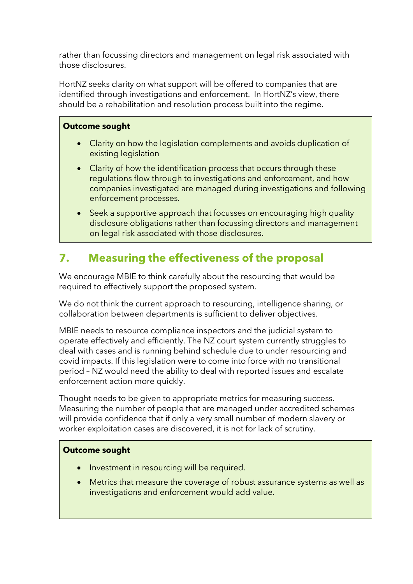rather than focussing directors and management on legal risk associated with those disclosures.

HortNZ seeks clarity on what support will be offered to companies that are identified through investigations and enforcement. In HortNZ's view, there should be a rehabilitation and resolution process built into the regime.

#### **Outcome sought**

- Clarity on how the legislation complements and avoids duplication of existing legislation
- Clarity of how the identification process that occurs through these regulations flow through to investigations and enforcement, and how companies investigated are managed during investigations and following enforcement processes.
- Seek a supportive approach that focusses on encouraging high quality disclosure obligations rather than focussing directors and management on legal risk associated with those disclosures.

# **7. Measuring the effectiveness of the proposal**

We encourage MBIE to think carefully about the resourcing that would be required to effectively support the proposed system.

We do not think the current approach to resourcing, intelligence sharing, or collaboration between departments is sufficient to deliver objectives.

MBIE needs to resource compliance inspectors and the judicial system to operate effectively and efficiently. The NZ court system currently struggles to deal with cases and is running behind schedule due to under resourcing and covid impacts. If this legislation were to come into force with no transitional period – NZ would need the ability to deal with reported issues and escalate enforcement action more quickly.

Thought needs to be given to appropriate metrics for measuring success. Measuring the number of people that are managed under accredited schemes will provide confidence that if only a very small number of modern slavery or worker exploitation cases are discovered, it is not for lack of scrutiny.

#### **Outcome sought**

- Investment in resourcing will be required.
- Metrics that measure the coverage of robust assurance systems as well as investigations and enforcement would add value.